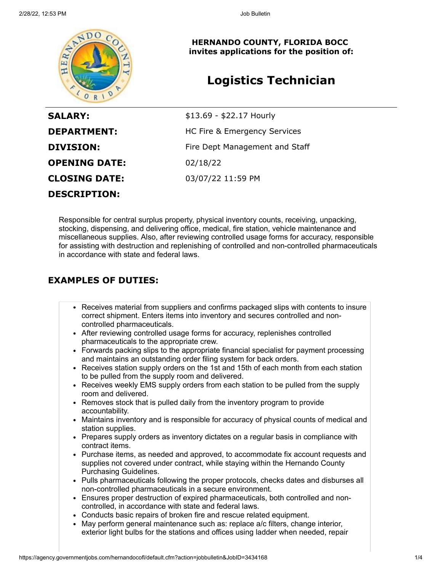

**HERNANDO COUNTY, FLORIDA BOCC invites applications for the position of:**

# **Logistics Technician**

| <b>SALARY:</b>       | \$13.69 - \$22.17 Hourly       |
|----------------------|--------------------------------|
| <b>DEPARTMENT:</b>   | HC Fire & Emergency Services   |
| <b>DIVISION:</b>     | Fire Dept Management and Staff |
| <b>OPENING DATE:</b> | 02/18/22                       |
| <b>CLOSING DATE:</b> | 03/07/22 11:59 PM              |
| <b>DESCRIPTION:</b>  |                                |

Responsible for central surplus property, physical inventory counts, receiving, unpacking, stocking, dispensing, and delivering office, medical, fire station, vehicle maintenance and miscellaneous supplies. Also, after reviewing controlled usage forms for accuracy, responsible for assisting with destruction and replenishing of controlled and non-controlled pharmaceuticals in accordance with state and federal laws.

## **EXAMPLES OF DUTIES:**

- Receives material from suppliers and confirms packaged slips with contents to insure correct shipment. Enters items into inventory and secures controlled and noncontrolled pharmaceuticals.
- After reviewing controlled usage forms for accuracy, replenishes controlled pharmaceuticals to the appropriate crew.
- Forwards packing slips to the appropriate financial specialist for payment processing and maintains an outstanding order filing system for back orders.
- Receives station supply orders on the 1st and 15th of each month from each station to be pulled from the supply room and delivered.
- Receives weekly EMS supply orders from each station to be pulled from the supply room and delivered.
- Removes stock that is pulled daily from the inventory program to provide accountability.
- Maintains inventory and is responsible for accuracy of physical counts of medical and station supplies.
- Prepares supply orders as inventory dictates on a regular basis in compliance with contract items.
- Purchase items, as needed and approved, to accommodate fix account requests and supplies not covered under contract, while staying within the Hernando County Purchasing Guidelines.
- Pulls pharmaceuticals following the proper protocols, checks dates and disburses all non-controlled pharmaceuticals in a secure environment.
- Ensures proper destruction of expired pharmaceuticals, both controlled and noncontrolled, in accordance with state and federal laws.
- Conducts basic repairs of broken fire and rescue related equipment.
- May perform general maintenance such as: replace a/c filters, change interior, exterior light bulbs for the stations and offices using ladder when needed, repair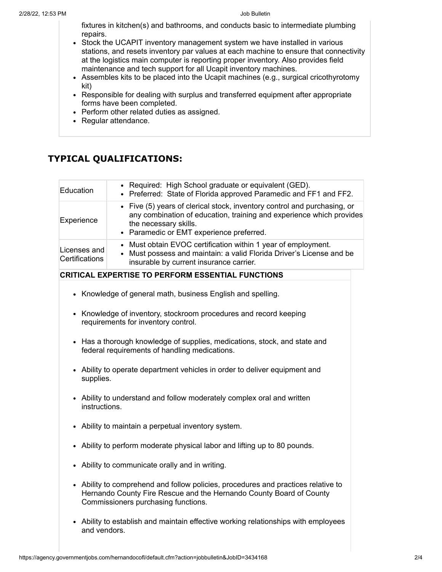fixtures in kitchen(s) and bathrooms, and conducts basic to intermediate plumbing repairs.

- Stock the UCAPIT inventory management system we have installed in various stations, and resets inventory par values at each machine to ensure that connectivity at the logistics main computer is reporting proper inventory. Also provides field maintenance and tech support for all Ucapit inventory machines.
- Assembles kits to be placed into the Ucapit machines (e.g., surgical cricothyrotomy kit)
- Responsible for dealing with surplus and transferred equipment after appropriate forms have been completed.
- Perform other related duties as assigned.
- Regular attendance.

# **TYPICAL QUALIFICATIONS:**

| Education                      | • Required: High School graduate or equivalent (GED).<br>• Preferred: State of Florida approved Paramedic and FF1 and FF2.                                                                                            |
|--------------------------------|-----------------------------------------------------------------------------------------------------------------------------------------------------------------------------------------------------------------------|
| Experience                     | • Five (5) years of clerical stock, inventory control and purchasing, or<br>any combination of education, training and experience which provides<br>the necessary skills.<br>• Paramedic or EMT experience preferred. |
| Licenses and<br>Certifications | • Must obtain EVOC certification within 1 year of employment.<br>• Must possess and maintain: a valid Florida Driver's License and be<br>insurable by current insurance carrier.                                      |

### **CRITICAL EXPERTISE TO PERFORM ESSENTIAL FUNCTIONS**

- Knowledge of general math, business English and spelling.
- Knowledge of inventory, stockroom procedures and record keeping requirements for inventory control.
- Has a thorough knowledge of supplies, medications, stock, and state and federal requirements of handling medications.
- Ability to operate department vehicles in order to deliver equipment and supplies.
- Ability to understand and follow moderately complex oral and written instructions.
- Ability to maintain a perpetual inventory system.
- Ability to perform moderate physical labor and lifting up to 80 pounds.
- Ability to communicate orally and in writing.
- Ability to comprehend and follow policies, procedures and practices relative to Hernando County Fire Rescue and the Hernando County Board of County Commissioners purchasing functions.
- Ability to establish and maintain effective working relationships with employees and vendors.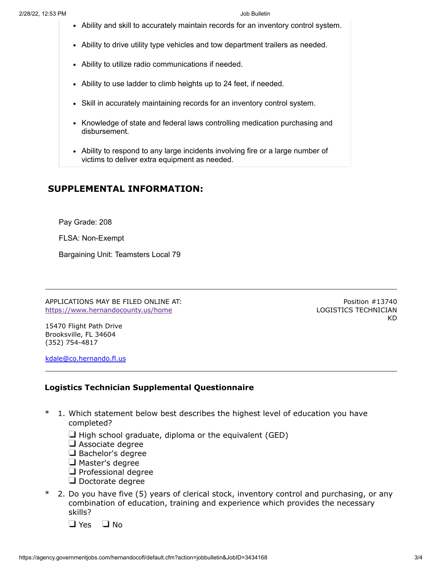- Ability and skill to accurately maintain records for an inventory control system.
- Ability to drive utility type vehicles and tow department trailers as needed.
- Ability to utilize radio communications if needed.
- Ability to use ladder to climb heights up to 24 feet, if needed.
- Skill in accurately maintaining records for an inventory control system.
- Knowledge of state and federal laws controlling medication purchasing and disbursement.
- Ability to respond to any large incidents involving fire or a large number of victims to deliver extra equipment as needed.

### **SUPPLEMENTAL INFORMATION:**

Pay Grade: 208

FLSA: Non-Exempt

Bargaining Unit: Teamsters Local 79

APPLICATIONS MAY BE FILED ONLINE AT: <https://www.hernandocounty.us/home>

Position #13740 LOGISTICS TECHNICIAN KD

15470 Flight Path Drive Brooksville, FL 34604 (352) 754-4817

[kdale@co.hernando.fl.us](mailto:kdale@co.hernando.fl.us)

#### **Logistics Technician Supplemental Questionnaire**

- \* 1. Which statement below best describes the highest level of education you have completed?
	- $\Box$  High school graduate, diploma or the equivalent (GED)
	- Associate degree
	- $\Box$  Bachelor's degree
	- Master's degree
	- $\Box$  Professional degree
	- $\Box$  Doctorate degree
- \* 2. Do you have five (5) years of clerical stock, inventory control and purchasing, or any combination of education, training and experience which provides the necessary skills?
	- $\Box$  Yes  $\Box$  No